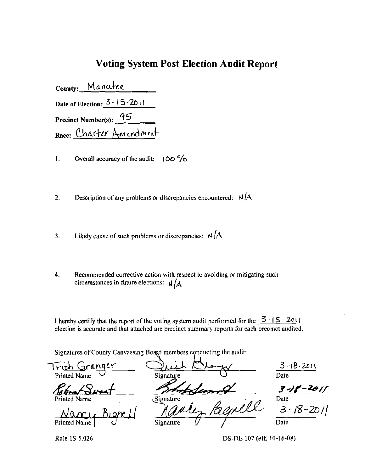## **Voting System Post Election Audit Report**

County: Manatee Date of Election:  $3 - 15 - 2011$ Precinct Number(s): 95 Race: Charter Amendment

1. Overall accuracy of the audit:  $100\frac{9}{0}$ 

2. Description of any problems or discrepancies encountered:  $N/A$ 

- 3. Likely cause of such problems or discrepancies:  $\mu$  /A
- 4. Recommended corrective action with respect to avoiding or mitigating such circumstances in future elections:  $\sqrt{\mathcal{A}}$

I hereby certify that the report of the voting system audit performed for the  $3 - 15 - 2011$ election is accurate and that attached are precinct summary reports for each precinct audited.

Signatures of County Canvassing Board members conducting the audit:

-r;:lt>~ Gnlnd Y"' . 3-IB-2.Dc\ Printed Name  $\cup$  Signature  $\cup$  Date  $R<sub>bb</sub> + S<sub>W</sub>$ Printed Name Signature Signature A 1 Signature Signature Branch Date Date

Rule 1S-5.026 DS-DE 107 (eff. 10-16-08)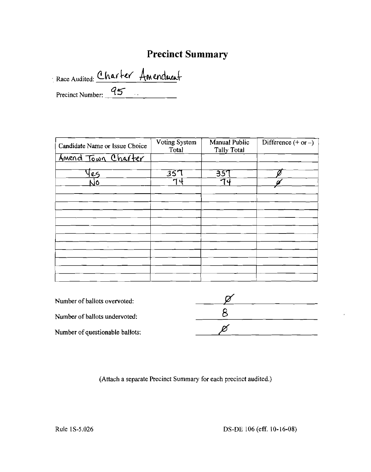## **Precinct Summary**

Race Audited: Charter Amenduent

| Candidate Name or Issue Choice | Voting System<br>Total | <b>Manual Public</b><br><b>Tally Total</b> | Difference $(+ or -)$ |
|--------------------------------|------------------------|--------------------------------------------|-----------------------|
| Amend Town Charter             |                        |                                            |                       |
| CS                             | $\overline{35}$        | 351                                        |                       |
| ١O                             | า 4                    | 74                                         |                       |
|                                |                        |                                            |                       |
|                                |                        |                                            |                       |
|                                |                        |                                            |                       |
|                                |                        |                                            |                       |
| $\cdot$                        |                        |                                            |                       |
|                                |                        |                                            |                       |
|                                |                        |                                            |                       |
|                                |                        |                                            |                       |

| Number of ballots overvoted:    |  |
|---------------------------------|--|
| Number of ballots undervoted:   |  |
| Number of questionable ballots: |  |

(Attach a separate Precinct Summary for each precinct audited.)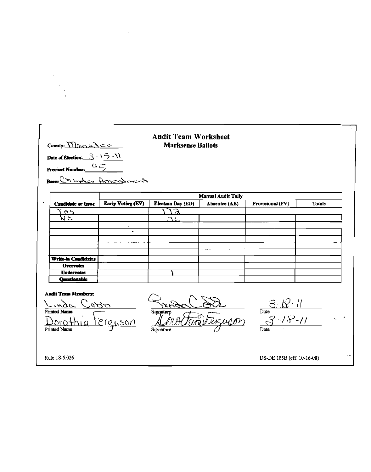| Countr $M$ Cone $\geq$                           |                          | <b>Audit Team Worksheet</b><br><b>Marksense Ballots</b> |                                            |                                                 |        |
|--------------------------------------------------|--------------------------|---------------------------------------------------------|--------------------------------------------|-------------------------------------------------|--------|
| Date of Election: $3 - 15 - 11$                  |                          |                                                         |                                            |                                                 |        |
| Precinct Number: 95<br>Recently bythe Armendment |                          |                                                         |                                            |                                                 |        |
|                                                  |                          |                                                         |                                            |                                                 |        |
| Candidate or Issue                               | <b>Early Voting (EV)</b> | <b>Election Day (ED)</b>                                | <b>Manual Audit Taily</b><br>Absentee (AB) | Provisional (PV)                                | Totals |
| e <sub>2</sub>                                   |                          | $\sqrt{2}$                                              |                                            |                                                 |        |
| र<br>र                                           |                          | 36                                                      |                                            |                                                 |        |
|                                                  |                          |                                                         |                                            |                                                 |        |
|                                                  |                          |                                                         |                                            |                                                 |        |
|                                                  |                          |                                                         |                                            |                                                 |        |
| Write-in Candidates                              | $\ddot{\phantom{1}}$     |                                                         |                                            |                                                 |        |
| Overvotes                                        |                          |                                                         |                                            |                                                 |        |
| <b>Undervotes</b><br><b>Questionable</b>         |                          |                                                         |                                            |                                                 |        |
|                                                  |                          |                                                         |                                            |                                                 |        |
| <b>Audit Team Members:</b>                       |                          |                                                         |                                            |                                                 |        |
|                                                  | 995                      |                                                         |                                            | $\frac{3.12.11}{2}$<br>Date $\frac{3.12.11}{2}$ |        |
| Printed Name                                     |                          | Signature                                               | France                                     |                                                 |        |
|                                                  | <u>terguson</u>          |                                                         |                                            |                                                 |        |
| <b>Printed Name</b>                              |                          | Signature                                               |                                            | Date                                            |        |
|                                                  |                          |                                                         |                                            |                                                 |        |
|                                                  |                          |                                                         |                                            |                                                 |        |

 $\label{eq:2.1} \mathcal{L}(\mathcal{L}^{\text{max}}_{\mathcal{L}}(\mathcal{L}^{\text{max}}_{\mathcal{L}}(\mathcal{L}^{\text{max}}_{\mathcal{L}}(\mathcal{L}^{\text{max}}_{\mathcal{L}^{\text{max}}_{\mathcal{L}}})))))$ 

 $\label{eq:2.1} \mathcal{L}(\mathcal{L}^{\text{max}}_{\text{max}}(\mathcal{L}^{\text{max}}_{\text{max}}))$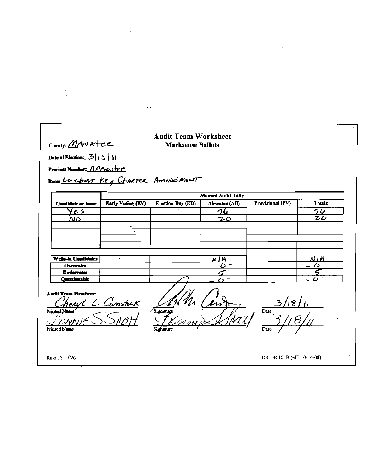|                                                                                                 | $\sim$ $\sim$     |                                  |                           |                          |               |
|-------------------------------------------------------------------------------------------------|-------------------|----------------------------------|---------------------------|--------------------------|---------------|
|                                                                                                 |                   |                                  |                           |                          |               |
|                                                                                                 |                   | <b>Audit Team Worksheet</b>      |                           |                          |               |
| County: MANAtee                                                                                 |                   | <b>Marksense Ballots</b>         |                           |                          |               |
| Date of Election: $\frac{3}{15}$                                                                |                   |                                  |                           |                          |               |
| Precinct Number: ABSentee                                                                       |                   |                                  |                           |                          |               |
|                                                                                                 |                   | Recentland Key CHARTER Amendment |                           |                          |               |
|                                                                                                 |                   |                                  | <b>Manual Audit Taily</b> |                          |               |
| <b>Candidate or Issue</b>                                                                       | Early Voting (EV) | <b>Election Day (ED)</b>         | Absentee (AB)             | <b>Provisional (PV)</b>  | <b>Totals</b> |
| <u>ye s</u>                                                                                     |                   |                                  | 76                        |                          | 76            |
| NΔ                                                                                              |                   |                                  | 20                        |                          | 20            |
|                                                                                                 |                   |                                  |                           |                          |               |
|                                                                                                 |                   |                                  |                           |                          |               |
|                                                                                                 |                   |                                  |                           |                          |               |
|                                                                                                 |                   |                                  |                           |                          |               |
|                                                                                                 | $\mathbf{r}$      |                                  |                           |                          | NIA           |
|                                                                                                 |                   |                                  | NIA                       |                          |               |
|                                                                                                 |                   |                                  |                           |                          |               |
| Overvies                                                                                        |                   |                                  |                           |                          | - 0           |
| <b>Undervotes</b><br>Questionable                                                               |                   |                                  |                           |                          |               |
| Write-in Candidates<br><b>Audit Texm Members:</b><br><b>Printed Name</b><br><b>Printed Name</b> | enyl L Constack   | Signatupe<br>Signature           |                           | $\overline{\text{Date}}$ |               |

 $\label{eq:2.1} \frac{1}{\sqrt{2}}\int_{\mathbb{R}^3}\frac{1}{\sqrt{2}}\left(\frac{1}{\sqrt{2}}\right)^2\frac{1}{\sqrt{2}}\left(\frac{1}{\sqrt{2}}\right)^2\frac{1}{\sqrt{2}}\left(\frac{1}{\sqrt{2}}\right)^2\frac{1}{\sqrt{2}}\left(\frac{1}{\sqrt{2}}\right)^2.$ 

 $\label{eq:2.1} \mathcal{L}_{\mathcal{A}}(\mathcal{A}) = \mathcal{L}_{\mathcal{A}}(\mathcal{A}) = \mathcal{L}_{\mathcal{A}}(\mathcal{A})$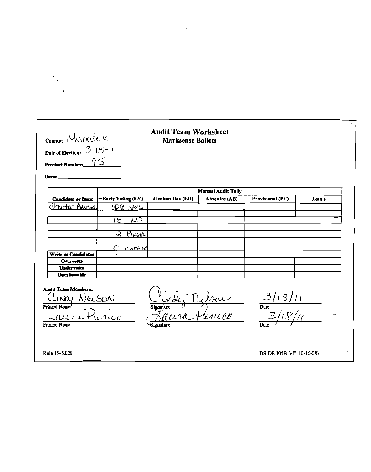| <b>Candidate or Issue</b>         |                                        |                   | <b>Manual Audit Tally</b> |                         |               |
|-----------------------------------|----------------------------------------|-------------------|---------------------------|-------------------------|---------------|
| Charter Aulent.                   | -Early Voting (EV)<br>LOG Jes          | Election Day (ED) | Absentee (AB)             | <b>Provisional (PV)</b> | <b>Totals</b> |
|                                   | $\overline{18}$ . No                   |                   |                           |                         |               |
|                                   |                                        |                   |                           |                         |               |
|                                   | B <sub>K</sub><br>$\mathcal{A}$        |                   |                           |                         |               |
| Write-in Candidates               | $\mathcal{O}$<br>Cververe<br>$\bullet$ |                   |                           |                         |               |
| Overvotes                         |                                        |                   |                           |                         |               |
| <b>Undervotes</b><br>Ouestionable |                                        |                   |                           |                         |               |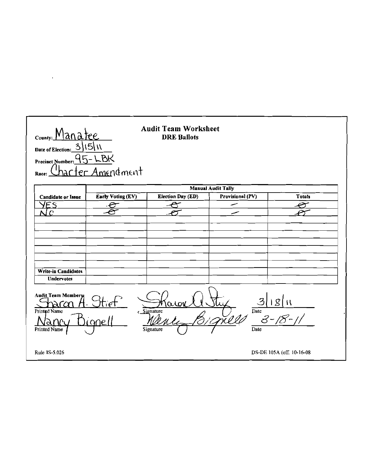## **Audit Team Worksheet** County: Manatee **DRE Ballots** 3115111 Date of Election:  $-LBK$  $95$ **Precinct Number:** er Amendment Race: **Manual Audit Tally** Early Voting (EV) **Election Day (ED)** Provisional (PV) **Totals Candidate or Issue** YES  $\overline{\phantom{0}}$  $\overline{\mathscr{E}}$  $\overline{\mathcal{C}}$  $\overline{\mathcal{A}}$  $N$   $C$ بيع سمد ℯ Write-in Candidates **Undervotes** Audit Team Members 3 Printed Name  $\overline{\text{Date}}$ Signature පි anc Printed Name Date Signature Rule 1S-5.026 DS-DE 105A (eff. 10-16-08